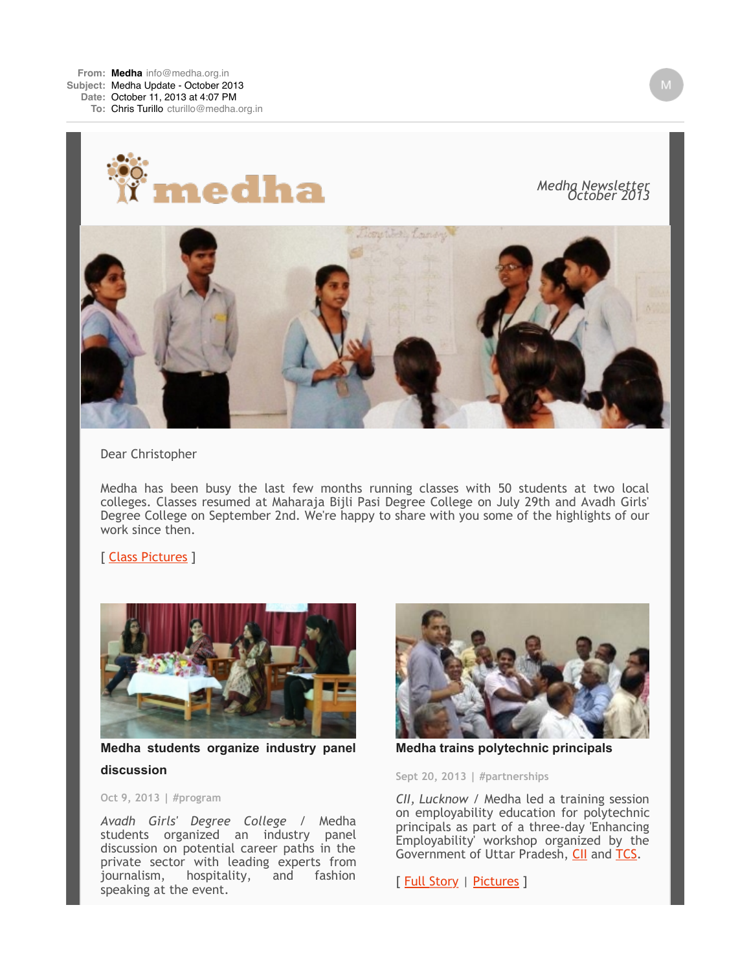

*Medha Newsletter October 2013*



Dear Christopher

Medha has been busy the last few months running classes with 50 students at two local colleges. Classes resumed at Maharaja Bijli Pasi Degree College on July 29th and Avadh Girls' Degree College on September 2nd. We're happy to share with you some of the highlights of our work since then.

## [ [Class Pictures](http://medha.us4.list-manage.com/track/click?u=7d2323ff1604617c4c832a812&id=0bc2fd2ad0&e=9b7fd485ab) ]



**Medha students organize industry panel discussion**

**Oct 9, 2013 | #program**

*Avadh Girls' Degree College* / Medha students organized an industry panel discussion on potential career paths in the private sector with leading experts from<br>journalism, hospitality, and fashion hospitality, speaking at the event.



**Medha trains polytechnic principals**

**Sept 20, 2013 | #partnerships**

*CII, Lucknow* / Medha led a training session on employability education for polytechnic principals as part of a three-day 'Enhancing Employability' workshop organized by the Government of Uttar Pradesh, [CII](http://medha.us4.list-manage.com/track/click?u=7d2323ff1604617c4c832a812&id=ee657b3280&e=9b7fd485ab) and [TCS.](http://medha.us4.list-manage.com/track/click?u=7d2323ff1604617c4c832a812&id=ed1610ff7a&e=9b7fd485ab)

[ [Full Story](http://medha.us4.list-manage.com/track/click?u=7d2323ff1604617c4c832a812&id=7f323eea04&e=9b7fd485ab) | [Pictures](http://medha.us4.list-manage.com/track/click?u=7d2323ff1604617c4c832a812&id=3f166a2e19&e=9b7fd485ab) ]